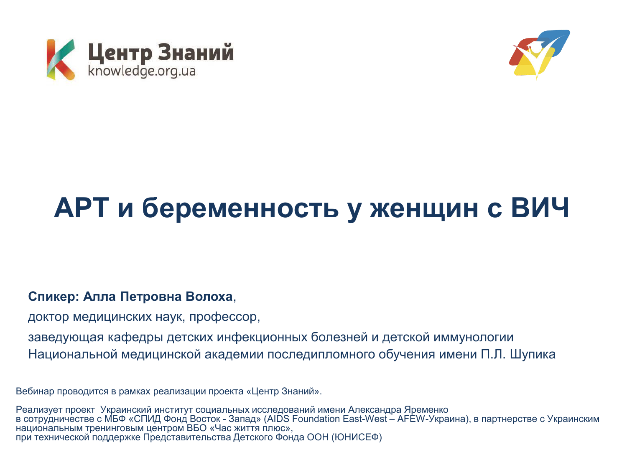



# АРТ и беременность у женщин с ВИЧ

#### Спикер: Алла Петровна Волоха,

доктор медицинских наук, профессор,

заведующая кафедры детских инфекционных болезней и детской иммунологии Национальной медицинской академии последипломного обучения имени П.Л. Шупика

Вебинар проводится в рамках реализации проекта «Центр Знаний».

Реализует проект Украинский институт социальных исследований имени Александра Яременко в сотрудничестве с МБФ «СПИД Фонд Восток - Запад» (AIDS Foundation East-West – AFEW-Украина), в партнерстве с Украинским национальным тренинговым центром ВБО «Час життя плюс», при технической поддержке Представительства Детского Фонда ООН (ЮНИСЕФ)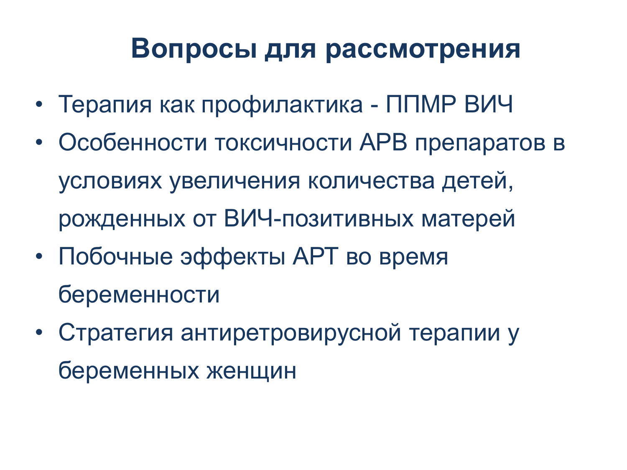### Вопросы для рассмотрения

- Терапия как профилактика ППМР ВИЧ
- Особенности токсичности АРВ препаратов в условиях увеличения количества детей, рожденных от ВИЧ-позитивных матерей
- Побочные эффекты АРТ во время беременности
- Стратегия антиретровирусной терапии у беременных женщин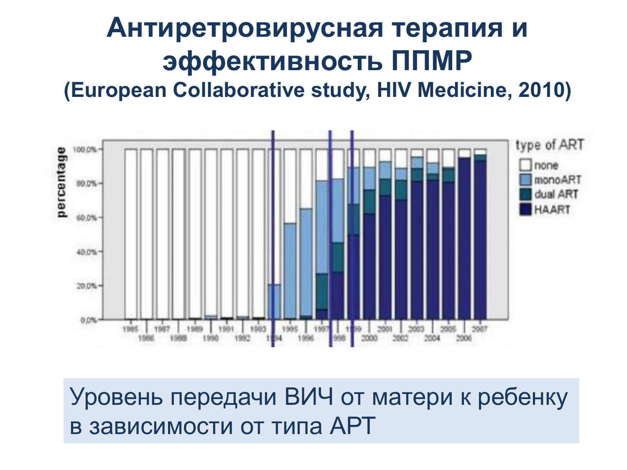# Антиретровирусная терапия и **Эффективность ППМР**

**(European Collaborative study, HIV Medicine, 2010)** 



Уровень передачи ВИЧ от матери к ребенку в зависимости от типа APT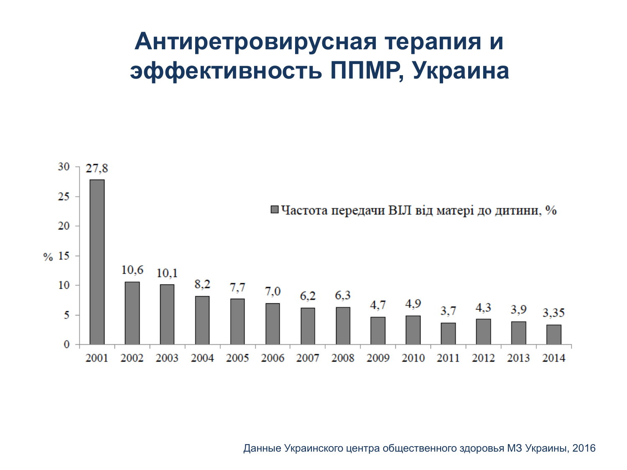### Антиретровирусная терапия и эффективность ППМР, Украина



Данные Украинского центра общественного здоровья МЗ Украины, 2016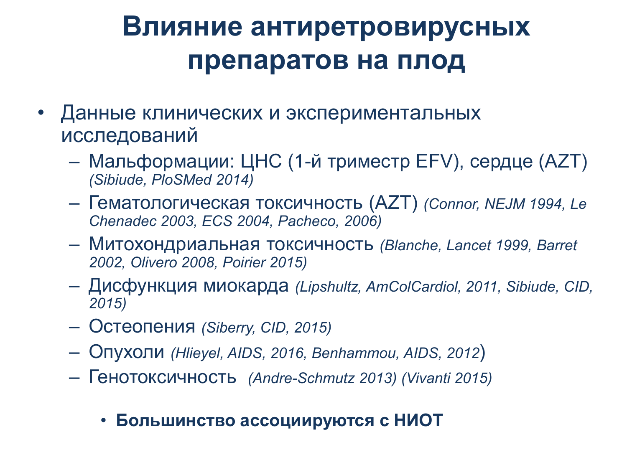## **Влияние антиретровирусных** препаратов на плод

- Данные клинических и экспериментальных исследований
	- Мальформации: ЦНС (1-й триместр EFV), сердце (AZT) *(Sibiude, PloSMed 2014)*
	- Ƚɟɦɚɬɨɥɨɝɢɱɟɫɤɚɹ ɬɨɤɫɢɱɧɨɫɬɶ (AZT) *(Connor, NEJM 1994, Le Chenadec 2003, ECS 2004, Pacheco, 2006)*
	- Ɇɢɬɨɯɨɧɞɪɢɚɥɶɧɚɹ ɬɨɤɫɢɱɧɨɫɬɶ *(Blanche, Lancet 1999, Barret 2002, Olivero 2008, Poirier 2015)*
	- Ⱦɢɫɮɭɧɤɰɢɹ ɦɢɨɤɚɪɞɚ *(Lipshultz, AmColCardiol, 2011, Sibiude, CID, 2015)*
	- Ɉɫɬɟɨɩɟɧɢɹ *(Siberry, CID, 2015)*
	- Ɉɩɭɯɨɥɢ *(Hlieyel, AIDS, 2016, Benhammou, AIDS, 2012*)
	- Ƚɟɧɨɬɨɤɫɢɱɧɨɫɬɶ *(Andre-Schmutz 2013) (Vivanti 2015)*

#### • Большинство ассоциируются с НИОТ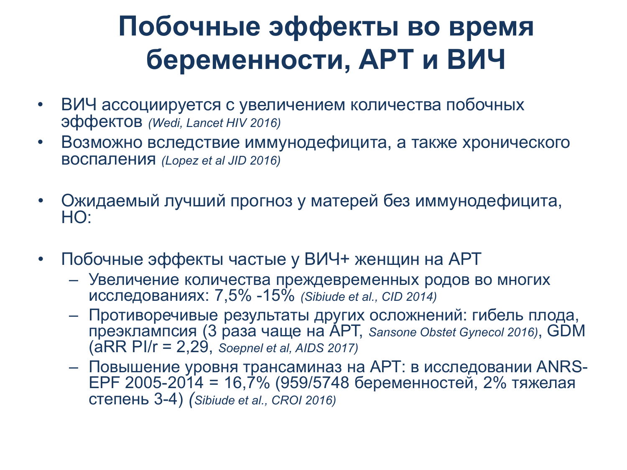## Побочные эффекты во время беременности, АРТ и ВИЧ

- ВИЧ ассоциируется с увеличением количества побочных Эффектов (Wedi, Lancet HIV 2016)
- Возможно вследствие иммунодефицита, а также хронического ВОСПАЛ*ЕНИЯ (Lopez et al JID 2016)*
- Ожидаемый лучший прогноз у матерей без иммунодефицита, HO:
- Побочные эффекты частые у ВИЧ+ женщин на АРТ
	- Увеличение количества преждевременных родов во многих исследованиях: 7,5% -15% *(Sibiude et al., CID 2014)*
	- Противоречивые результаты других осложнений: гибель плода, преэклампсия (3 раза чаще на АРТ, Sansone Obstet Gynecol 2016), GDM (aRR PI/r = 2,29, *Soepnel et al, AIDS 2017)*
	- Повышение уровня трансаминаз на АРТ: в исследовании ANRS-ЕРГ 2005-2014 = 16,7% (959/5748 беременностей, 2% тяжелая ɫɬɟɩɟɧɶ 3-4) *(Sibiude et al., CROI 2016)*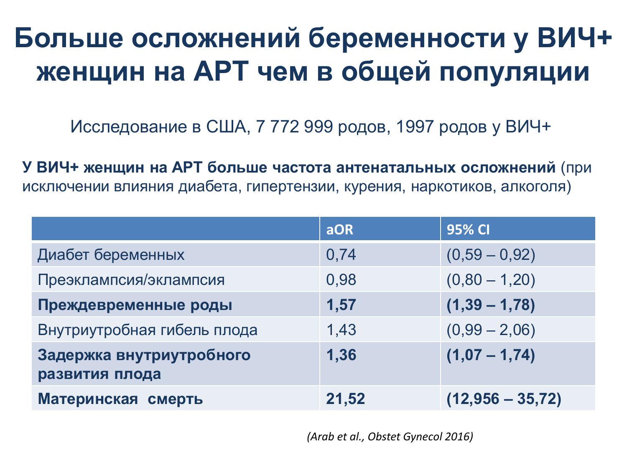## Больше осложнений беременности у ВИЧ+ женщин на АРТ чем в общей популяции

Исследование в США, 7 772 999 родов, 1997 родов у ВИЧ+

У ВИЧ+ женщин на АРТ больше частота антенатальных осложнений (при исключении влияния диабета, гипертензии, курения, наркотиков, алкоголя)

|                                            | <b>aOR</b> | <b>95% CI</b>      |
|--------------------------------------------|------------|--------------------|
| Диабет беременных                          | 0,74       | $(0,59 - 0,92)$    |
| Преэклампсия/эклампсия                     | 0,98       | $(0,80 - 1,20)$    |
| Преждевременные роды                       | 1,57       | $(1,39 - 1,78)$    |
| Внутриутробная гибель плода                | 1,43       | $(0,99 - 2,06)$    |
| Задержка внутриутробного<br>развития плода | 1,36       | $(1,07 - 1,74)$    |
| Материнская смерть                         | 21,52      | $(12,956 - 35,72)$ |

*(Arab et al., Obstet Gynecol 2016)*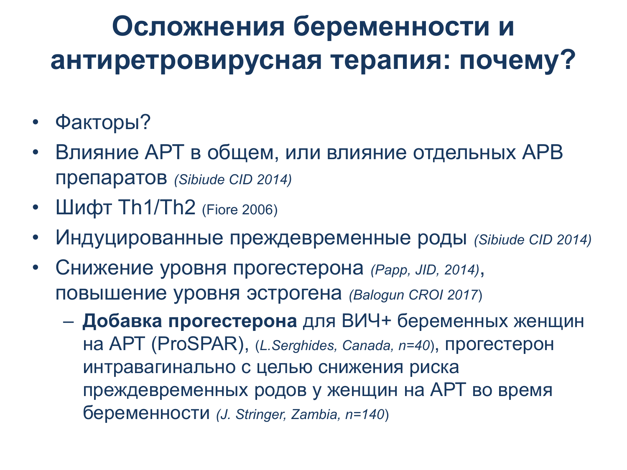## Осложнения беременности и антиретровирусная терапия: почему?

- Факторы?
- Влияние АРТ в общем, или влияние отдельных APB Препаратов (Sibiude CID 2014)
- Шифт  $Th1/Th2$  (Fiore 2006)
- Индуцированные преждевременные роды (Sibiude CID 2014)
- Снижение уровня прогестерона (Papp, JID, 2014), ПОВЫШЕНИЕ УРОВНЯ ЭСТРОГЕНА (Balogun CROI 2017)
	- Добавка прогестерона для ВИЧ+ беременных женщин НА APT (ProSPAR), (*L.Serghides, Canada, n=40*), Прогестерон интравагинально с целью снижения риска преждевременных родов у женщин на АРТ во время беременности (J. Stringer, Zambia, n=140)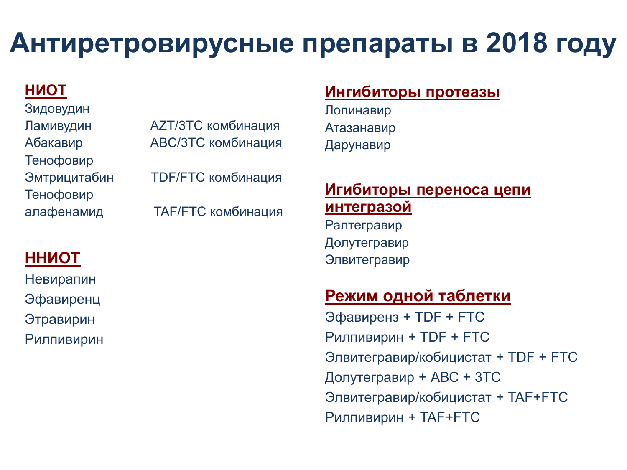## Антиретровирусные препараты в 2018 году

#### **HUOT**

Зидовудин Тенофовир Тенофовир

Ламивудин АZT/3TC комбинация Абакавир АВС/3ТС комбинация Эмтрицитабин ТDF/FTC комбинация алафенамид ТАF/FTC комбинация

#### **HHNOT**

Невирапин Эфавиренц Этравирин Рилпивирин

#### **Ингибиторы протеазы**

Лопинавир Атазанавир Дарунавир

#### **Игибиторы переноса цепи** интегразой

Ралтегравир Долутегравир Элвитегравир

#### Режим одной таблетки

Эфавиренз + TDF + FTC Рилпивирин + TDF + FTC Элвитегравир/кобицистат + TDF + FTC Долутегравир + ABC + 3TC Элвитегравир/кобицистат + TAF+FTC Рилпивирин + TAF+FTC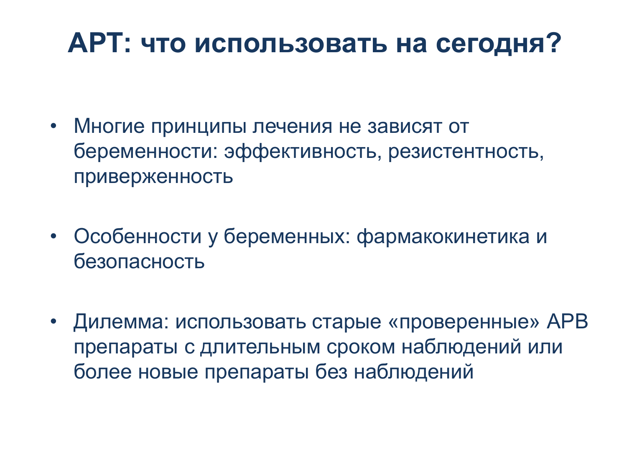## **АРТ: что использовать на сегодня?**

- Многие принципы лечения не зависят от беременности: эффективность, резистентность, приверженность
- Особенности у беременных: фармакокинетика и безопасность
- Дилемма: использовать старые «проверенные» АРВ препараты с длительным сроком наблюдений или более новые препараты без наблюдений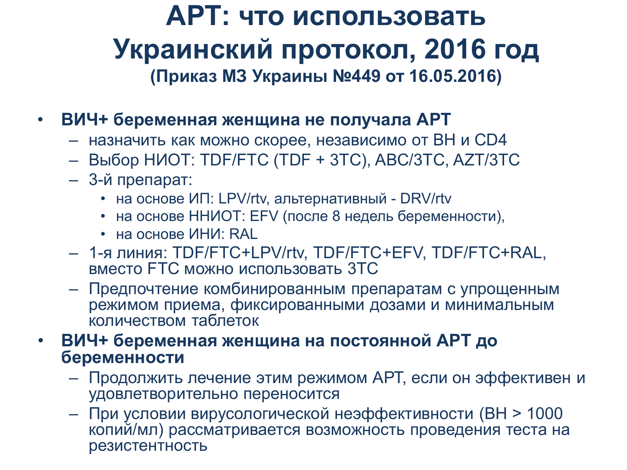### АРТ: что использовать Украинский протокол, 2016 год **(ɉɪɢɤɚɡ ɆɁ ɍɤɪɚɢɧɵ №449 ɨɬ 16.05.2016)**

- ВИЧ+ беременная женщина не получала АРТ
	- назначить как можно скорее, независимо от ВН и CD4
	- ȼɵɛɨɪ ɇɂɈɌ: ɌDF/FTC (ɌDF + 3TC), ABC/3TC, AZT/3TC
	- 3-й препарат:
		- на основе ИП: LPV/rtv, альтернативный DRV/rtv
		- на основе ННИОТ: EFV (после 8 недель беременности),
		- на основе ИНИ: RAL
	- 1-я линия: TDF/FTC+LPV/rtv, TDF/FTC+EFV, TDF/FTC+RAL, вместо FTC можно использовать 3TC
	- Предпочтение комбинированным препаратам с упрощенным режимом приема, фиксированными дозами и минимальным количеством таблеток
- ВИЧ+ беременная женщина на постоянной АРТ до **беременности** 
	- Продолжить лечение этим режимом АРТ, если он эффективен и удовлетворительно переносится
	- При условии вирусологической неэффективности (ВН > 1000 копий/мл) рассматривается возможность проведения теста на резистентность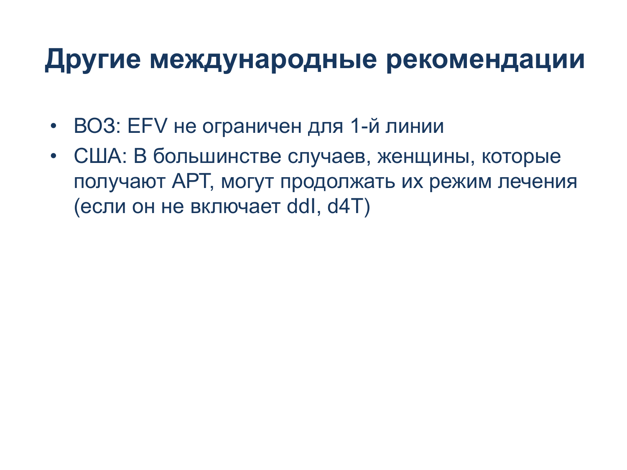### **Другие международные рекомендации**

- ВОЗ: EFV не ограничен для 1-й линии
- США: В большинстве случаев, женщины, которые получают АРТ, могут продолжать их режим лечения (если он не включает ddl, d4T)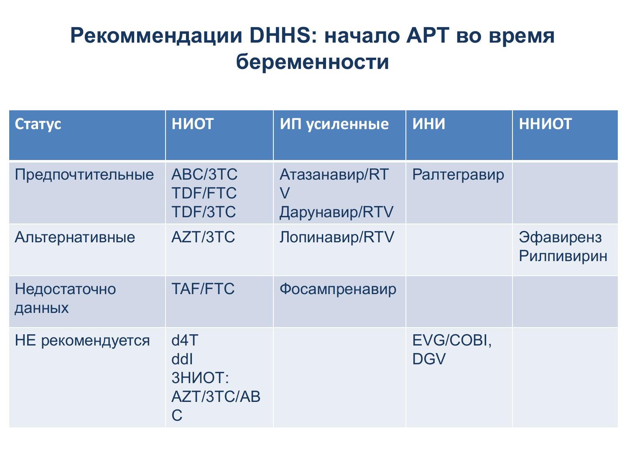#### Рекоммендации DHHS: начало APT во время  $$

| Статус                 | <b>HUOT</b>                                    | ИП усиленные                             | <b>MHN</b>              | <b>ННИОТ</b>            |
|------------------------|------------------------------------------------|------------------------------------------|-------------------------|-------------------------|
| Предпочтительные       | ABC/3TC<br><b>TDF/FTC</b><br>TDF/3TC           | Атазанавир/RT<br>$\vee$<br>Дарунавир/RTV | Ралтегравир             |                         |
| Альтернативные         | AZT/3TC                                        | Лопинавир/RTV                            |                         | Эфавиренз<br>Рилпивирин |
| Недостаточно<br>данных | <b>TAF/FTC</b>                                 | Фосампренавир                            |                         |                         |
| НЕ рекомендуется       | d4T<br>ddl<br><b>3HNOT:</b><br>AZT/3TC/AB<br>C |                                          | EVG/COBI,<br><b>DGV</b> |                         |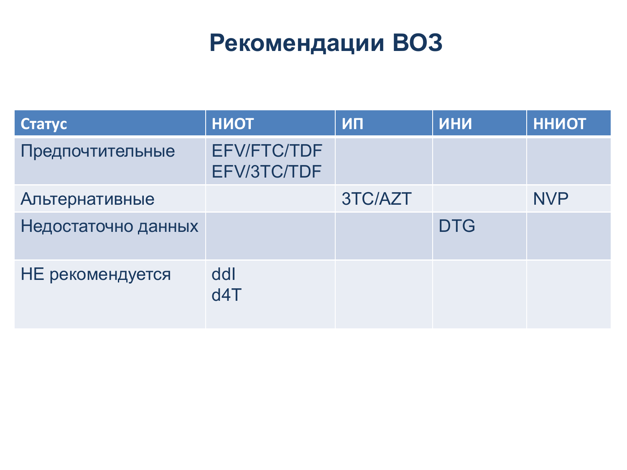### Рекомендации ВОЗ

| Статус              | <b>HMOT</b>                       | ИП      | <b>NHN</b> | <b>ННИОТ</b> |
|---------------------|-----------------------------------|---------|------------|--------------|
| Предпочтительные    | <b>EFV/FTC/TDF</b><br>EFV/3TC/TDF |         |            |              |
| Альтернативные      |                                   | 3TC/AZT |            | <b>NVP</b>   |
| Недостаточно данных |                                   |         | <b>DTG</b> |              |
| НЕ рекомендуется    | ddl<br>d4T                        |         |            |              |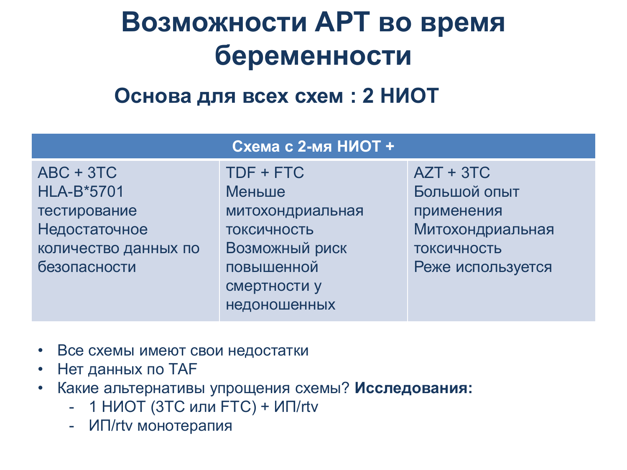## Возможности АРТ во время **беременности**

Основа для всех схем : 2 НИОТ

| Схема с 2-мя НИОТ +                   |                                            |                                 |  |  |
|---------------------------------------|--------------------------------------------|---------------------------------|--|--|
| $ABC + 3TC$<br><b>HLA-B*5701</b>      | TDF + FTC<br>Меньше                        | $AZT + 3TC$<br>Большой опыт     |  |  |
| тестирование                          | митохондриальная                           | применения                      |  |  |
| Недостаточное<br>количество данных по | ТОКСИЧНОСТЬ<br>Возможный риск              | Митохондриальная<br>ТОКСИЧНОСТЬ |  |  |
| безопасности                          | повышенной<br>смертности у<br>недоношенных | Реже используется               |  |  |
|                                       |                                            |                                 |  |  |

- Все схемы имеют свои недостатки
- Нет данных по ТАГ
- Какие альтернативы упрощения схемы? Исследования:
	- 1 НИОТ (3TC или FTC) + ИП/rtv
	- ИП/rtv монотерапия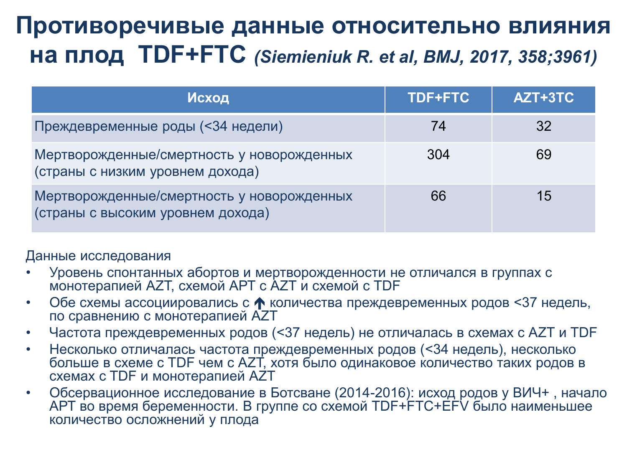### Противоречивые данные относительно влияния **НА ПЛОД TDF+FTC** *(Siemieniuk R. et al, BMJ, 2017, 358;3961)*

| Исход                                                                           | <b>TDF+FTC</b> | AZT+3TC |
|---------------------------------------------------------------------------------|----------------|---------|
| Преждевременные роды (<34 недели)                                               | 74             | 32      |
| Мертворожденные/смертность у новорожденных<br>(страны с низким уровнем дохода)  | 304            | 69      |
| Мертворожденные/смертность у новорожденных<br>(страны с высоким уровнем дохода) | 66             | 15      |

Данные исследования

- Уровень спонтанных абортов и мертворожденности не отличался в группах с монотерапией AZT, схемой APT с AZT и схемой с TDF
- Обе схемы ассоциировались с ↑ количества преждевременных родов <37 недель, по сравнению с монотерапией AZT
- Частота преждевременных родов (<37 недель) не отличалась в схемах с AZT и TDF
- Несколько отличалась частота преждевременных родов (<34 недель), несколько iconditional communities with a wind a zero in the specific temperature in the state in the state in the state схемах с TDF и монотерапией AZT
- Обсервационное исследование в Ботсване (2014-2016): исход родов у ВИЧ+, начало АРТ во время беременности. В группе со схемой TDF+FTC+EFV было наименьшее количество осложнений у плода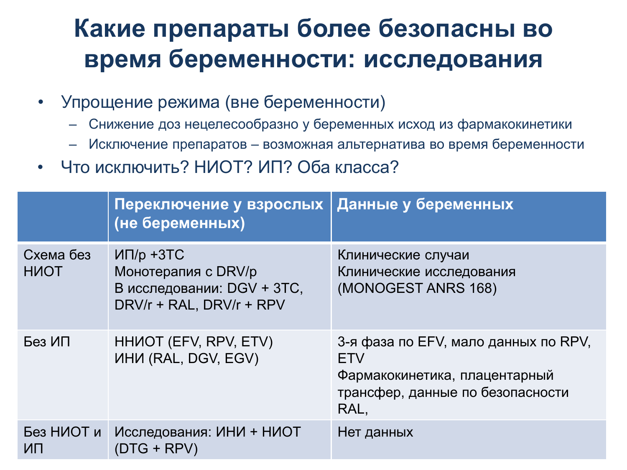### Какие препараты более безопасны во время беременности: исследования

- Упрощение режима (вне беременности)
	- Снижение доз нецелесообразно у беременных исход из фармакокинетики
	- Исключение препаратов возможная альтернатива во время беременности
- Что исключить? НИОТ? ИП? Оба класса?

|                          | Переключение у взрослых<br>(не беременных)                                                    | Данные у беременных                                                                                                             |
|--------------------------|-----------------------------------------------------------------------------------------------|---------------------------------------------------------------------------------------------------------------------------------|
| Схема без<br><b>HIOT</b> | $MT/p + 3TC$<br>Монотерапия с DRV/р<br>В исследовании: DGV + 3TC,<br>DRV/r + RAL, DRV/r + RPV | Клинические случаи<br>Клинические исследования<br>(MONOGEST ANRS 168)                                                           |
| Без ИП                   | HHUOT (EFV, RPV, ETV)<br>ИНИ (RAL, DGV, EGV)                                                  | 3-я фаза по EFV, мало данных по RPV,<br><b>ETV</b><br>Фармакокинетика, плацентарный<br>трансфер, данные по безопасности<br>RAL, |
| Без НИОТ и<br>ИП         | Исследования: ИНИ + НИОТ<br>$(DTG + RPV)$                                                     | Нет данных                                                                                                                      |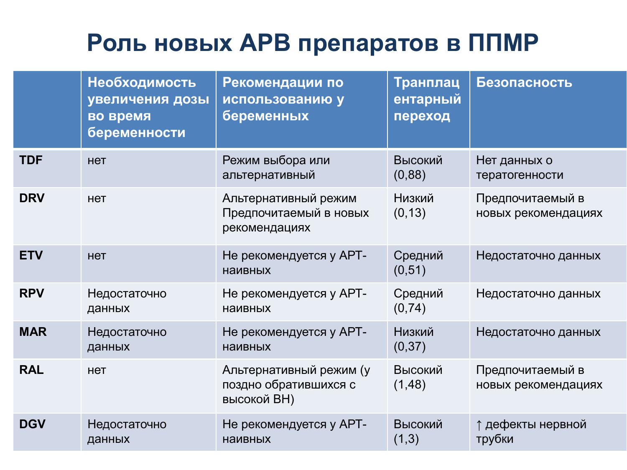### Роль новых APB препаратов в ППМР

|            | Необходимость<br>увеличения дозы<br>во время<br>беременности | Рекомендации по<br>использованию у<br>беременных                | Транплац<br>ентарный<br>переход | Безопасность                            |
|------------|--------------------------------------------------------------|-----------------------------------------------------------------|---------------------------------|-----------------------------------------|
| <b>TDF</b> | <b>HeT</b>                                                   | Режим выбора или<br>альтернативный                              | Высокий<br>(0,88)               | Нет данных о<br>тератогенности          |
| <b>DRV</b> | <b>HeT</b>                                                   | Альтернативный режим<br>Предпочитаемый в новых<br>рекомендациях | Низкий<br>(0, 13)               | Предпочитаемый в<br>новых рекомендациях |
| <b>ETV</b> | <b>HeT</b>                                                   | Не рекомендуется у АРТ-<br><b>НАИВНЫХ</b>                       | Средний<br>(0, 51)              | Недостаточно данных                     |
| <b>RPV</b> | Недостаточно<br>данных                                       | Не рекомендуется у АРТ-<br><b>НАИВНЫХ</b>                       | Средний<br>(0, 74)              | Недостаточно данных                     |
| <b>MAR</b> | Недостаточно<br>данных                                       | Не рекомендуется у АРТ-<br><b>НАИВНЫХ</b>                       | Низкий<br>(0, 37)               | Недостаточно данных                     |
| <b>RAL</b> | <b>HeT</b>                                                   | Альтернативный режим (у<br>поздно обратившихся с<br>высокой ВН) | Высокий<br>(1, 48)              | Предпочитаемый в<br>новых рекомендациях |
| <b>DGV</b> | Недостаточно<br>данных                                       | Не рекомендуется у АРТ-<br><b>НАИВНЫХ</b>                       | Высокий<br>(1,3)                | ↑ дефекты нервной<br>трубки             |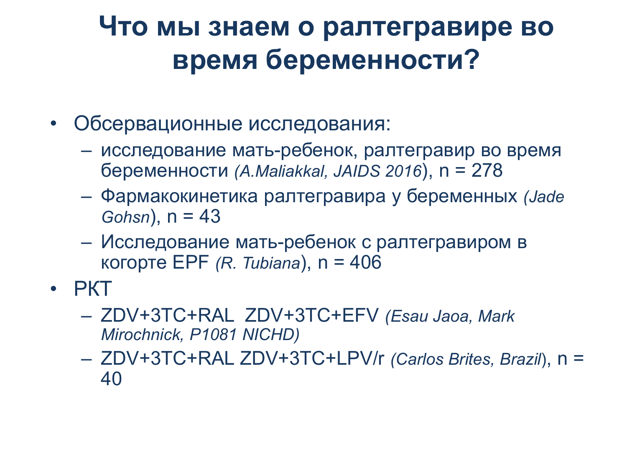### Что мы знаем о ралтегравире во **время беременности?**

- Обсервационные исследования:
	- исследование мать-ребенок, ралтегравир во время беременности (A.Maliakkal, JAIDS 2016), n = 278
	- Ɏɚɪɦɚɤɨɤɢɧɟɬɢɤɚ ɪɚɥɬɟɝɪɚɜɢɪɚ ɭ ɛɟɪɟɦɟɧɧɵɯ *(Jade Gohsn*), n = 43
	- Исследование мать-ребенок с ралтегравиром в **κοτορτe EPF** *(R. Tubiana*), n = 406
- $PKT$ 
	- ZDV+3TC+RAL ZDV+3TC+EFV *(Esau Jaoa, Mark Mirochnick, P1081 NICHD)*
	- ZDV+3TC+RAL ZDV+3TC+LPV/r *(Carlos Brites, Brazil*), n = 40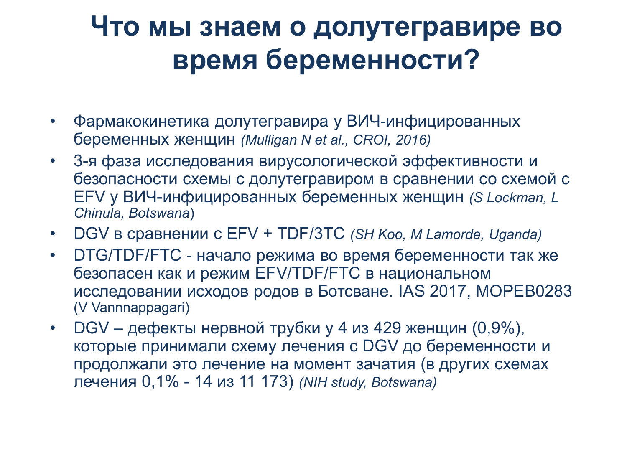### Что мы знаем о долутегравире во **время беременности?**

- Фармакокинетика долутегравира у ВИЧ-инфицированных беременных женщин (Mulligan N et al., CROI, 2016)
- 3-я фаза исследования вирусологической эффективности и безопасности схемы с долутегравиром в сравнении со схемой с EFV ɭ ȼɂɑ-ɢɧɮɢɰɢɪɨɜɚɧɧɵɯ ɛɟɪɟɦɟɧɧɵɯ ɠɟɧɳɢɧ *(S Lockman, L Chinula, Botswana*)
- DGV в сравнении с EFV + TDF/3TC *(SH Koo, M Lamorde, Uganda)*
- DTG/TDF/FTC начало режима во время беременности так же безопасен как и режим EFV/TDF/FTC в национальном исследовании исходов родов в Ботсване. IAS 2017, MOPEB0283 (V Vannnappagari)
- DGV дефекты нервной трубки у 4 из 429 женщин  $(0,9\%)$ , которые принимали схему лечения с DGV до беременности и продолжали это лечение на момент зачатия (в других схемах ɥɟɱɟɧɢɹ 0,1% - 14 ɢɡ 11 173) *(NIH study, Botswana)*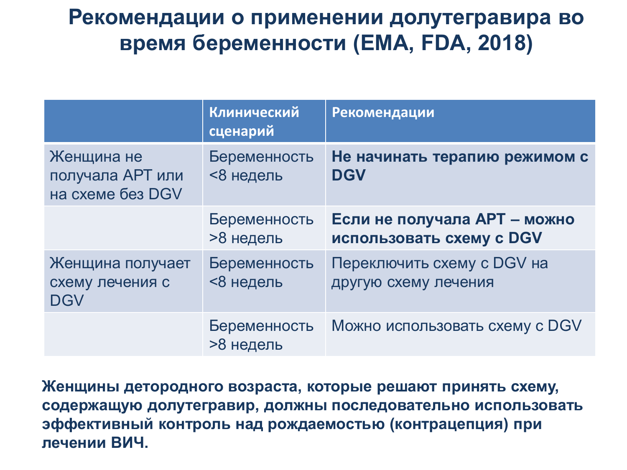#### Рекомендации о применении долутегравира во **время беременности (ЕМА, FDA, 2018)**

|                                                    | Клинический<br>сценарий   | Рекомендации                                             |
|----------------------------------------------------|---------------------------|----------------------------------------------------------|
| Женщина не<br>получала АРТ или<br>на схеме без DGV | Беременность<br><8 недель | Не начинать терапию режимом с<br><b>DGV</b>              |
|                                                    | Беременность<br>>8 недель | Если не получала APT - можно<br>использовать схему с DGV |
| Женщина получает<br>схему лечения с<br><b>DGV</b>  | Беременность<br><8 недель | Переключить схему с DGV на<br>другую схему лечения       |
|                                                    | Беременность<br>>8 недель | Можно использовать схему с DGV                           |

Женщины детородного возраста, которые решают принять схему, содержащую долутегравир, должны последовательно использовать зффективный контроль над рождаемостью (контрацепция) при **лечении ВИЧ.**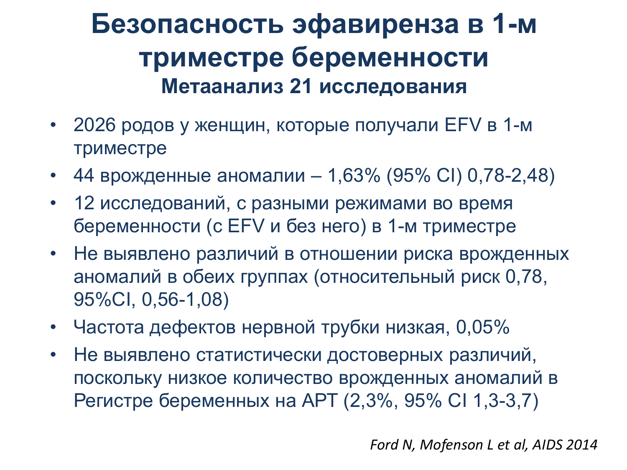### Безопасность эфавиренза в 1-м триместре беременности Метаанализ 21 исследования

- 2026 родов у женщин, которые получали EFV в 1-м триместре
- 44 врожденные аномалии 1,63% (95% CI) 0,78-2,48)
- 12 исследований, с разными режимами во время беременности (с EFV и без него) в 1-м триместре
- Не выявлено различий в отношении риска врожденных аномалий в обеих группах (относительный риск 0,78, 95%ɋI, 0,56-1,08)
- Частота дефектов нервной трубки низкая, 0,05%
- Не выявлено статистически достоверных различий, поскольку низкое количество врожденных аномалий в Регистре беременных на АРТ (2,3%, 95% CI 1,3-3,7)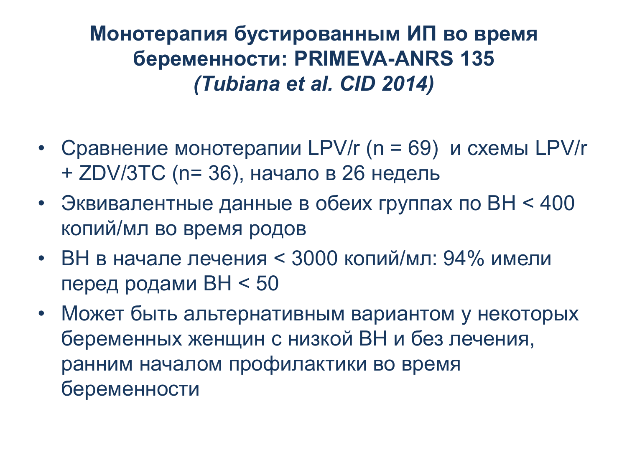Монотерапия бустированным ИП во время **беременности: PRIMEVA-ANRS 135** *(Tubiana et al. CID 2014)* 

- Сравнение монотерапии LPV/r (n = 69) и схемы LPV/r + ZDV/3TC (n= 36), начало в 26 недель
- Эквивалентные данные в обеих группах по ВН < 400 копий/мл во время родов
- ВН в начале лечения < 3000 копий/мл: 94% имели перед родами ВН $<$  50
- Может быть альтернативным вариантом у некоторых беременных женщин с низкой ВН и без лечения, ранним началом профилактики во время беременности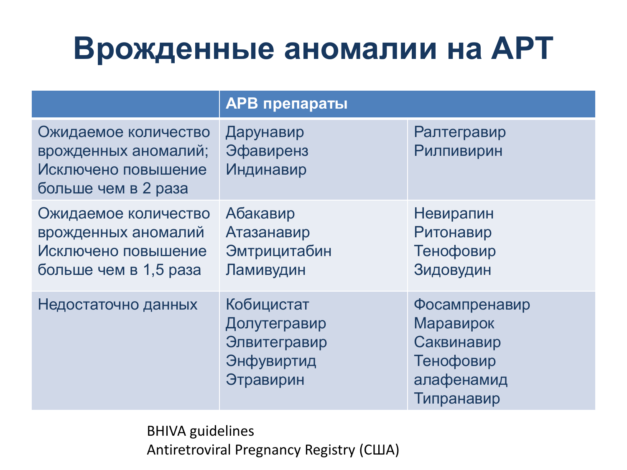# **Врожденные аномалии на АРТ**

|                                                                                             | <b>АРВ препараты</b>                                                  |                                                                                   |
|---------------------------------------------------------------------------------------------|-----------------------------------------------------------------------|-----------------------------------------------------------------------------------|
| Ожидаемое количество<br>врожденных аномалий;<br>Исключено повышение<br>больше чем в 2 раза  | Дарунавир<br><b>Эфавиренз</b><br>Индинавир                            | Ралтегравир<br><b>Рилпивирин</b>                                                  |
| Ожидаемое количество<br>врожденных аномалий<br>Исключено повышение<br>больше чем в 1,5 раза | Абакавир<br>Атазанавир<br>Эмтрицитабин<br>Ламивудин                   | Невирапин<br>Ритонавир<br>Тенофовир<br>Зидовудин                                  |
| Недостаточно данных                                                                         | Кобицистат<br>Долутегравир<br>Элвитегравир<br>Энфувиртид<br>Этравирин | Фосампренавир<br>Маравирок<br>Саквинавир<br>Тенофовир<br>алафенамид<br>Типранавир |

BHIVA guidelines Antiretroviral Pregnancy Registry (США)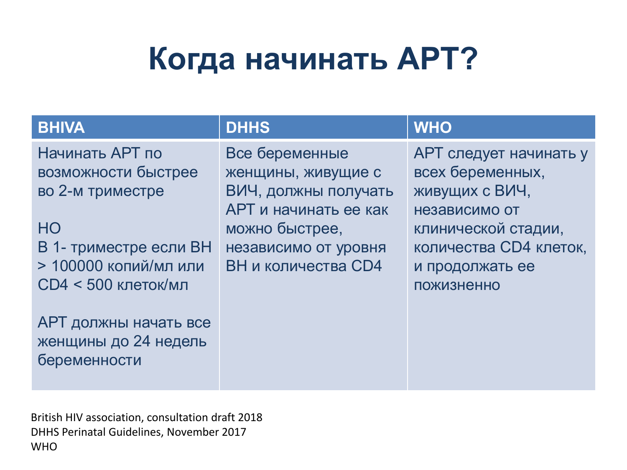# Когда начинать **АРТ?**

| <b>BHIVA</b>                                                                                                                                                                                                              | <b>DHHS</b>                                                                                                                                            | <b>WHO</b>                                                                                                                                                             |
|---------------------------------------------------------------------------------------------------------------------------------------------------------------------------------------------------------------------------|--------------------------------------------------------------------------------------------------------------------------------------------------------|------------------------------------------------------------------------------------------------------------------------------------------------------------------------|
| Начинать АРТ по<br>возможности быстрее<br>во 2-м триместре<br>H <sub>O</sub><br>В 1- триместре если ВН<br>> 100000 копий/мл или<br>$CD4 < 500$ клеток/мл<br>АРТ должны начать все<br>женщины до 24 недель<br>беременности | Все беременные<br>женщины, живущие с<br>ВИЧ, должны получать<br>АРТ и начинать ее как<br>можно быстрее,<br>независимо от уровня<br>ВН и количества СD4 | АРТ следует начинать у<br>всех беременных,<br>живущих с ВИЧ,<br>независимо от<br>клинической стадии,<br>количества СD4 клеток,<br>и продолжать ее<br><b>ПОЖИЗНЕННО</b> |
|                                                                                                                                                                                                                           |                                                                                                                                                        |                                                                                                                                                                        |

Вritish HIV association, consultation draft 2018 DHHS Perinatal Guidelines, November 2017 WHO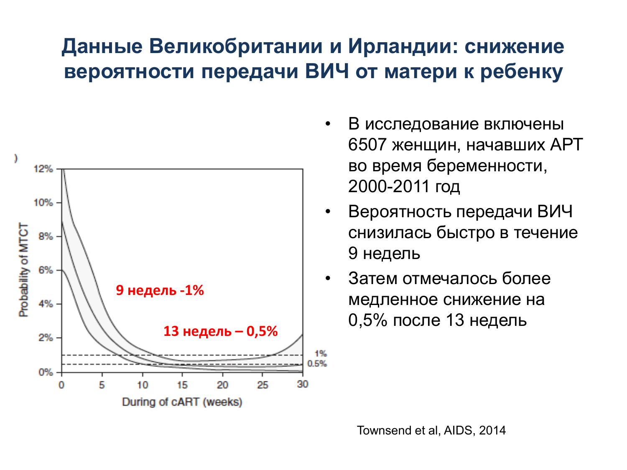#### Данные Великобритании и Ирландии: снижение **вероятности передачи ВИЧ от матери к ребенку**



- В исследование включены 6507 женщин, начавших АРТ во время беременности, 2000-2011 год
- Вероятность передачи ВИЧ снизилась быстро в течение 9 недель
- Затем отмечалось более медленное снижение на 0,5% после 13 недель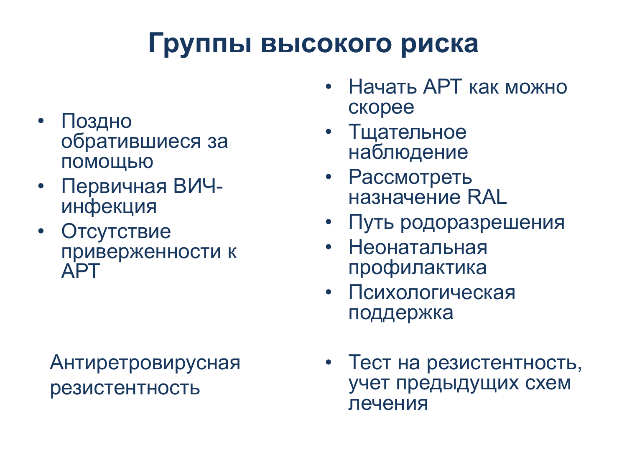## Группы высокого риска

- $\Box$ ОЗДНО обратившиеся за ПОМОЩЬЮ
- Первичная ВИЧинфекция
- Отсутствие приверженности к **APT**

#### Антиретровирусная резистентность

- Начать APT как можно ckopee
- Тщательное наблюдение
- Рассмотреть назначение RAL
- Путь родоразрешения
- Неонатальная профилактика
- Психологическая поддержка
- Тест на резистентность, учет предыдущих схем лечения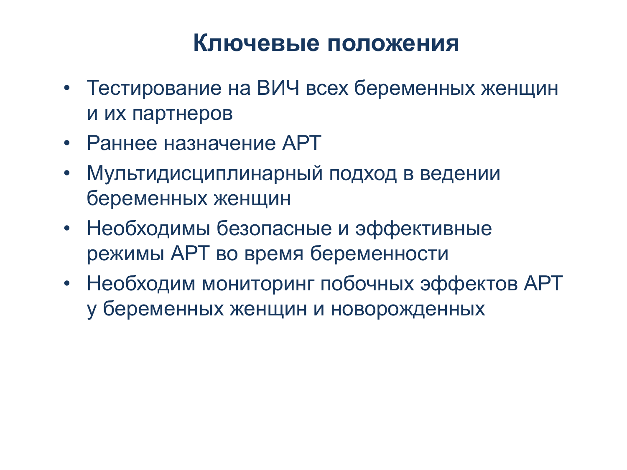### Ключевые положения

- Тестирование на ВИЧ всех беременных женщин и их партнеров
- Раннее назначение АРТ
- Мультидисциплинарный подход в ведении беременных женщин
- Необходимы безопасные и эффективные режимы APT во время беременности
- Необходим мониторинг побочных эффектов АРТ у беременных женщин и новорожденных